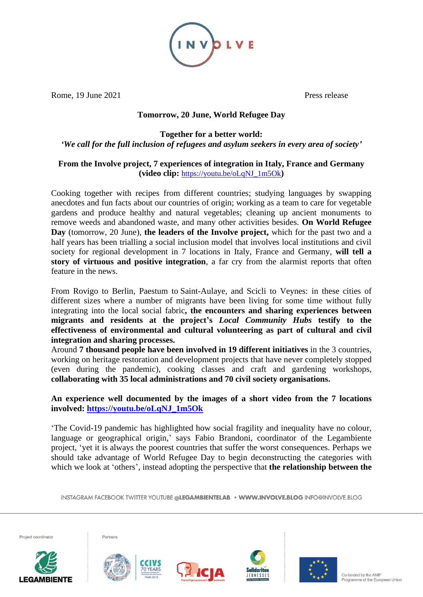

Rome, 19 June 2021 Press release

# **Tomorrow, 20 June, World Refugee Day**

## **Together for a better world:** *'We call for the full inclusion of refugees and asylum seekers in every area of society'*

## **From the Involve project, 7 experiences of integration in Italy, France and Germany (video clip:** [https://youtu.be/oLqNJ\\_1m5Ok](https://youtu.be/oLqNJ_1m5Ok)**)**

Cooking together with recipes from different countries; studying languages by swapping anecdotes and fun facts about our countries of origin; working as a team to care for vegetable gardens and produce healthy and natural vegetables; cleaning up ancient monuments to remove weeds and abandoned waste, and many other activities besides. **On World Refugee Day** (tomorrow, 20 June), **the leaders of the Involve project,** which for the past two and a half years has been trialling a social inclusion model that involves local institutions and civil society for regional development in 7 locations in Italy, France and Germany, **will tell a story of virtuous and positive integration**, a far cry from the alarmist reports that often feature in the news.

From Rovigo to Berlin, Paestum to Saint-Aulaye, and Scicli to Veynes: in these cities of different sizes where a number of migrants have been living for some time without fully integrating into the local social fabric**, the encounters and sharing experiences between migrants and residents at the project's** *Local Community Hubs* **testify to the effectiveness of environmental and cultural volunteering as part of cultural and civil integration and sharing processes.**

Around **7 thousand people have been involved in 19 different initiatives** in the 3 countries, working on heritage restoration and development projects that have never completely stopped (even during the pandemic), cooking classes and craft and gardening workshops, **collaborating with 35 local administrations and 70 civil society organisations.**

**An experience well documented by the images of a short video from the 7 locations involved: [https://youtu.be/oLqNJ\\_1m5Ok](https://youtu.be/oLqNJ_1m5Ok)**

'The Covid-19 pandemic has highlighted how social fragility and inequality have no colour, language or geographical origin,' says Fabio Brandoni, coordinator of the Legambiente project, 'yet it is always the poorest countries that suffer the worst consequences. Perhaps we should take advantage of World Refugee Day to begin deconstructing the categories with which we look at 'others', instead adopting the perspective that **the relationship between the**

INSTAGRAM FACEBOOK TWITTER YOUTUBE @LEGAMBIENTELAB · WWW.INVOLVE.BLOG INFO@INVOLVE.BLOG







Partners